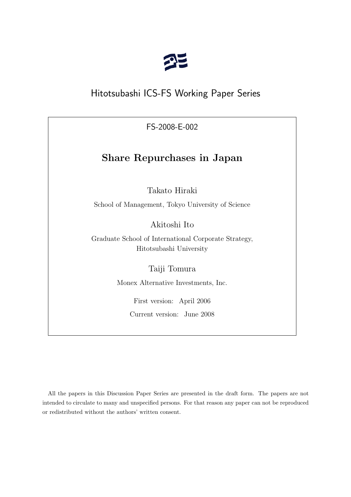

# Hitotsubashi ICS-FS Working Paper Series

FS-2008-E-002

# **Share Repurchases in Japan**

Takato Hiraki

School of Management, Tokyo University of Science

Akitoshi Ito

Graduate School of International Corporate Strategy, Hitotsubashi University

Taiji Tomura

Monex Alternative Investments, Inc.

First version: April 2006

Current version: June 2008

All the papers in this Discussion Paper Series are presented in the draft form. The papers are not intended to circulate to many and unspecified persons. For that reason any paper can not be reproduced or redistributed without the authors' written consent.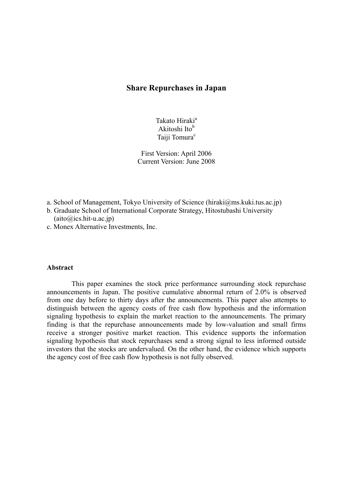## **Share Repurchases in Japan**

Takato Hiraki<sup>a</sup> Akitoshi Ito<sup>b</sup> Taiji Tomura<sup>c</sup>

First Version: April 2006 Current Version: June 2008

- a. School of Management, Tokyo University of Science (hiraki@ms.kuki.tus.ac.jp)
- b. Graduate School of International Corporate Strategy, Hitostubashi University  $(aito@ics.hit-u.ac.jp)$
- c. Monex Alternative Investments, Inc.

#### **Abstract**

This paper examines the stock price performance surrounding stock repurchase announcements in Japan. The positive cumulative abnormal return of 2.0% is observed from one day before to thirty days after the announcements. This paper also attempts to distinguish between the agency costs of free cash flow hypothesis and the information signaling hypothesis to explain the market reaction to the announcements. The primary finding is that the repurchase announcements made by low-valuation and small firms receive a stronger positive market reaction. This evidence supports the information signaling hypothesis that stock repurchases send a strong signal to less informed outside investors that the stocks are undervalued. On the other hand, the evidence which supports the agency cost of free cash flow hypothesis is not fully observed.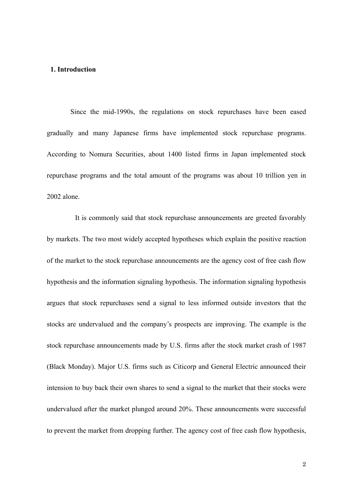#### **1. Introduction**

Since the mid-1990s, the regulations on stock repurchases have been eased gradually and many Japanese firms have implemented stock repurchase programs. According to Nomura Securities, about 1400 listed firms in Japan implemented stock repurchase programs and the total amount of the programs was about 10 trillion yen in 2002 alone.

It is commonly said that stock repurchase announcements are greeted favorably by markets. The two most widely accepted hypotheses which explain the positive reaction of the market to the stock repurchase announcements are the agency cost of free cash flow hypothesis and the information signaling hypothesis. The information signaling hypothesis argues that stock repurchases send a signal to less informed outside investors that the stocks are undervalued and the company's prospects are improving. The example is the stock repurchase announcements made by U.S. firms after the stock market crash of 1987 (Black Monday). Major U.S. firms such as Citicorp and General Electric announced their intension to buy back their own shares to send a signal to the market that their stocks were undervalued after the market plunged around 20%. These announcements were successful to prevent the market from dropping further. The agency cost of free cash flow hypothesis,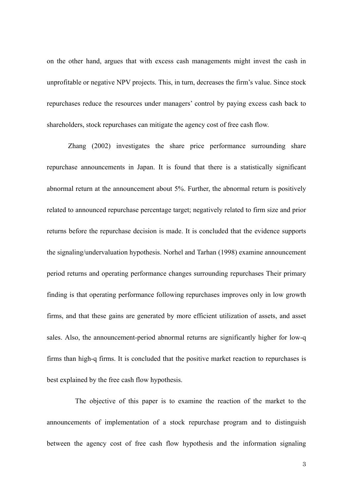on the other hand, argues that with excess cash managements might invest the cash in unprofitable or negative NPV projects. This, in turn, decreases the firm's value. Since stock repurchases reduce the resources under managers' control by paying excess cash back to shareholders, stock repurchases can mitigate the agency cost of free cash flow.

 Zhang (2002) investigates the share price performance surrounding share repurchase announcements in Japan. It is found that there is a statistically significant abnormal return at the announcement about 5%. Further, the abnormal return is positively related to announced repurchase percentage target; negatively related to firm size and prior returns before the repurchase decision is made. It is concluded that the evidence supports the signaling/undervaluation hypothesis. Norhel and Tarhan (1998) examine announcement period returns and operating performance changes surrounding repurchases Their primary finding is that operating performance following repurchases improves only in low growth firms, and that these gains are generated by more efficient utilization of assets, and asset sales. Also, the announcement-period abnormal returns are significantly higher for low-q firms than high-q firms. It is concluded that the positive market reaction to repurchases is best explained by the free cash flow hypothesis.

The objective of this paper is to examine the reaction of the market to the announcements of implementation of a stock repurchase program and to distinguish between the agency cost of free cash flow hypothesis and the information signaling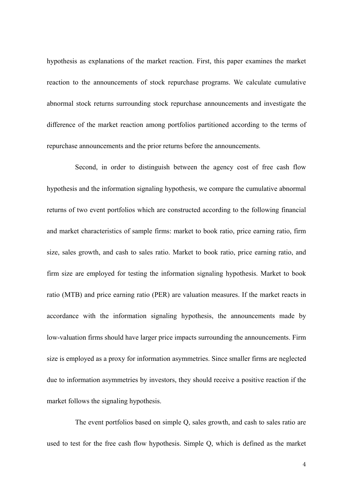hypothesis as explanations of the market reaction. First, this paper examines the market reaction to the announcements of stock repurchase programs. We calculate cumulative abnormal stock returns surrounding stock repurchase announcements and investigate the difference of the market reaction among portfolios partitioned according to the terms of repurchase announcements and the prior returns before the announcements.

Second, in order to distinguish between the agency cost of free cash flow hypothesis and the information signaling hypothesis, we compare the cumulative abnormal returns of two event portfolios which are constructed according to the following financial and market characteristics of sample firms: market to book ratio, price earning ratio, firm size, sales growth, and cash to sales ratio. Market to book ratio, price earning ratio, and firm size are employed for testing the information signaling hypothesis. Market to book ratio (MTB) and price earning ratio (PER) are valuation measures. If the market reacts in accordance with the information signaling hypothesis, the announcements made by low-valuation firms should have larger price impacts surrounding the announcements. Firm size is employed as a proxy for information asymmetries. Since smaller firms are neglected due to information asymmetries by investors, they should receive a positive reaction if the market follows the signaling hypothesis.

The event portfolios based on simple Q, sales growth, and cash to sales ratio are used to test for the free cash flow hypothesis. Simple Q, which is defined as the market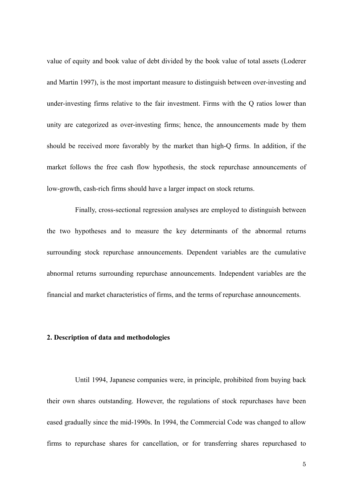value of equity and book value of debt divided by the book value of total assets (Loderer and Martin 1997), is the most important measure to distinguish between over-investing and under-investing firms relative to the fair investment. Firms with the Q ratios lower than unity are categorized as over-investing firms; hence, the announcements made by them should be received more favorably by the market than high-Q firms. In addition, if the market follows the free cash flow hypothesis, the stock repurchase announcements of low-growth, cash-rich firms should have a larger impact on stock returns.

Finally, cross-sectional regression analyses are employed to distinguish between the two hypotheses and to measure the key determinants of the abnormal returns surrounding stock repurchase announcements. Dependent variables are the cumulative abnormal returns surrounding repurchase announcements. Independent variables are the financial and market characteristics of firms, and the terms of repurchase announcements.

#### **2. Description of data and methodologies**

Until 1994, Japanese companies were, in principle, prohibited from buying back their own shares outstanding. However, the regulations of stock repurchases have been eased gradually since the mid-1990s. In 1994, the Commercial Code was changed to allow firms to repurchase shares for cancellation, or for transferring shares repurchased to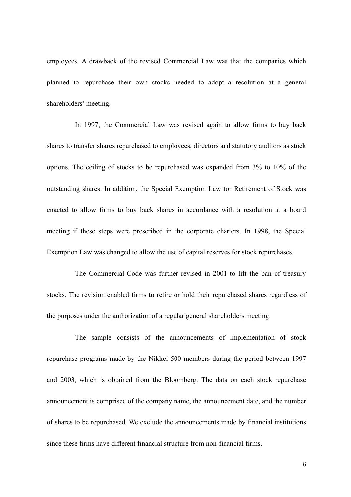employees. A drawback of the revised Commercial Law was that the companies which planned to repurchase their own stocks needed to adopt a resolution at a general shareholders' meeting.

In 1997, the Commercial Law was revised again to allow firms to buy back shares to transfer shares repurchased to employees, directors and statutory auditors as stock options. The ceiling of stocks to be repurchased was expanded from 3% to 10% of the outstanding shares. In addition, the Special Exemption Law for Retirement of Stock was enacted to allow firms to buy back shares in accordance with a resolution at a board meeting if these steps were prescribed in the corporate charters. In 1998, the Special Exemption Law was changed to allow the use of capital reserves for stock repurchases.

The Commercial Code was further revised in 2001 to lift the ban of treasury stocks. The revision enabled firms to retire or hold their repurchased shares regardless of the purposes under the authorization of a regular general shareholders meeting.

The sample consists of the announcements of implementation of stock repurchase programs made by the Nikkei 500 members during the period between 1997 and 2003, which is obtained from the Bloomberg. The data on each stock repurchase announcement is comprised of the company name, the announcement date, and the number of shares to be repurchased. We exclude the announcements made by financial institutions since these firms have different financial structure from non-financial firms.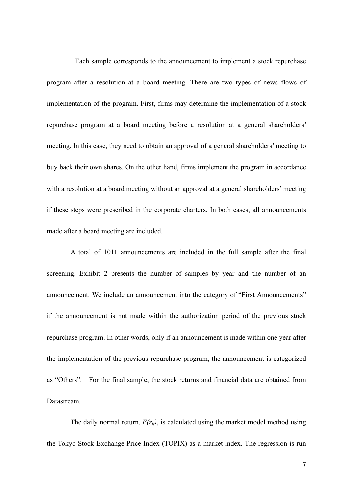Each sample corresponds to the announcement to implement a stock repurchase program after a resolution at a board meeting. There are two types of news flows of implementation of the program. First, firms may determine the implementation of a stock repurchase program at a board meeting before a resolution at a general shareholders' meeting. In this case, they need to obtain an approval of a general shareholders' meeting to buy back their own shares. On the other hand, firms implement the program in accordance with a resolution at a board meeting without an approval at a general shareholders' meeting if these steps were prescribed in the corporate charters. In both cases, all announcements made after a board meeting are included.

A total of 1011 announcements are included in the full sample after the final screening. Exhibit 2 presents the number of samples by year and the number of an announcement. We include an announcement into the category of "First Announcements" if the announcement is not made within the authorization period of the previous stock repurchase program. In other words, only if an announcement is made within one year after the implementation of the previous repurchase program, the announcement is categorized as "Others". For the final sample, the stock returns and financial data are obtained from **Datastream** 

The daily normal return,  $E(r_{it})$ , is calculated using the market model method using the Tokyo Stock Exchange Price Index (TOPIX) as a market index. The regression is run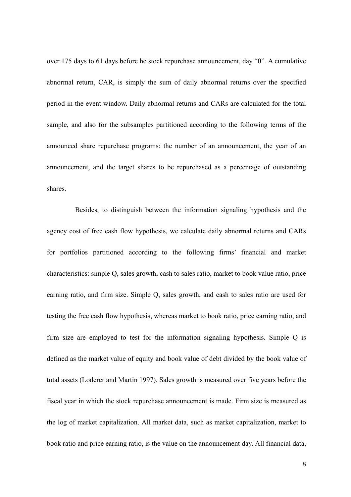over 175 days to 61 days before he stock repurchase announcement, day "0". A cumulative abnormal return, CAR, is simply the sum of daily abnormal returns over the specified period in the event window. Daily abnormal returns and CARs are calculated for the total sample, and also for the subsamples partitioned according to the following terms of the announced share repurchase programs: the number of an announcement, the year of an announcement, and the target shares to be repurchased as a percentage of outstanding shares.

Besides, to distinguish between the information signaling hypothesis and the agency cost of free cash flow hypothesis, we calculate daily abnormal returns and CARs for portfolios partitioned according to the following firms' financial and market characteristics: simple Q, sales growth, cash to sales ratio, market to book value ratio, price earning ratio, and firm size. Simple Q, sales growth, and cash to sales ratio are used for testing the free cash flow hypothesis, whereas market to book ratio, price earning ratio, and firm size are employed to test for the information signaling hypothesis. Simple Q is defined as the market value of equity and book value of debt divided by the book value of total assets (Loderer and Martin 1997). Sales growth is measured over five years before the fiscal year in which the stock repurchase announcement is made. Firm size is measured as the log of market capitalization. All market data, such as market capitalization, market to book ratio and price earning ratio, is the value on the announcement day. All financial data,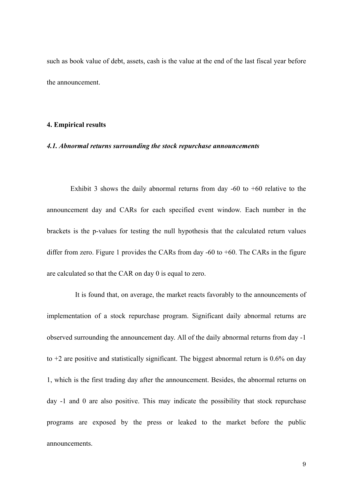such as book value of debt, assets, cash is the value at the end of the last fiscal year before the announcement.

#### **4. Empirical results**

#### *4.1. Abnormal returns surrounding the stock repurchase announcements*

Exhibit 3 shows the daily abnormal returns from day  $-60$  to  $+60$  relative to the announcement day and CARs for each specified event window. Each number in the brackets is the p-values for testing the null hypothesis that the calculated return values differ from zero. Figure 1 provides the CARs from day  $-60$  to  $+60$ . The CARs in the figure are calculated so that the CAR on day 0 is equal to zero.

It is found that, on average, the market reacts favorably to the announcements of implementation of a stock repurchase program. Significant daily abnormal returns are observed surrounding the announcement day. All of the daily abnormal returns from day -1 to  $+2$  are positive and statistically significant. The biggest abnormal return is 0.6% on day 1, which is the first trading day after the announcement. Besides, the abnormal returns on day -1 and 0 are also positive. This may indicate the possibility that stock repurchase programs are exposed by the press or leaked to the market before the public announcements.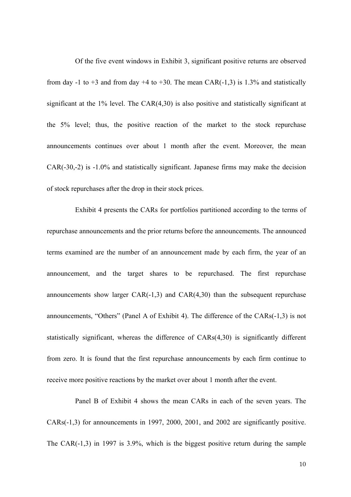Of the five event windows in Exhibit 3, significant positive returns are observed from day -1 to +3 and from day +4 to +30. The mean CAR(-1,3) is 1.3% and statistically significant at the 1% level. The CAR(4,30) is also positive and statistically significant at the 5% level; thus, the positive reaction of the market to the stock repurchase announcements continues over about 1 month after the event. Moreover, the mean CAR(-30,-2) is -1.0% and statistically significant. Japanese firms may make the decision of stock repurchases after the drop in their stock prices.

 Exhibit 4 presents the CARs for portfolios partitioned according to the terms of repurchase announcements and the prior returns before the announcements. The announced terms examined are the number of an announcement made by each firm, the year of an announcement, and the target shares to be repurchased. The first repurchase announcements show larger  $CAR(-1,3)$  and  $CAR(4,30)$  than the subsequent repurchase announcements, "Others" (Panel A of Exhibit 4). The difference of the CARs(-1,3) is not statistically significant, whereas the difference of CARs(4,30) is significantly different from zero. It is found that the first repurchase announcements by each firm continue to receive more positive reactions by the market over about 1 month after the event.

 Panel B of Exhibit 4 shows the mean CARs in each of the seven years. The CARs(-1,3) for announcements in 1997, 2000, 2001, and 2002 are significantly positive. The CAR(-1,3) in 1997 is 3.9%, which is the biggest positive return during the sample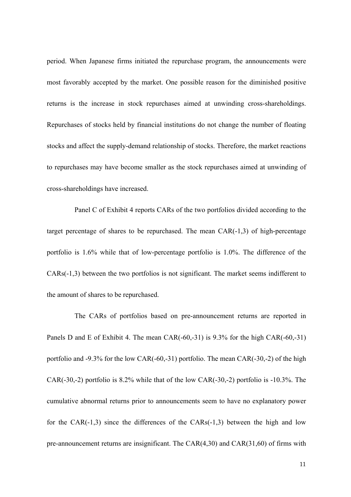period. When Japanese firms initiated the repurchase program, the announcements were most favorably accepted by the market. One possible reason for the diminished positive returns is the increase in stock repurchases aimed at unwinding cross-shareholdings. Repurchases of stocks held by financial institutions do not change the number of floating stocks and affect the supply-demand relationship of stocks. Therefore, the market reactions to repurchases may have become smaller as the stock repurchases aimed at unwinding of cross-shareholdings have increased.

Panel C of Exhibit 4 reports CARs of the two portfolios divided according to the target percentage of shares to be repurchased. The mean CAR(-1,3) of high-percentage portfolio is 1.6% while that of low-percentage portfolio is 1.0%. The difference of the CARs(-1,3) between the two portfolios is not significant. The market seems indifferent to the amount of shares to be repurchased.

The CARs of portfolios based on pre-announcement returns are reported in Panels D and E of Exhibit 4. The mean CAR(-60,-31) is 9.3% for the high CAR(-60,-31) portfolio and -9.3% for the low CAR(-60,-31) portfolio. The mean CAR(-30,-2) of the high CAR(-30,-2) portfolio is 8.2% while that of the low CAR(-30,-2) portfolio is -10.3%. The cumulative abnormal returns prior to announcements seem to have no explanatory power for the CAR(-1,3) since the differences of the CARs(-1,3) between the high and low pre-announcement returns are insignificant. The CAR(4,30) and CAR(31,60) of firms with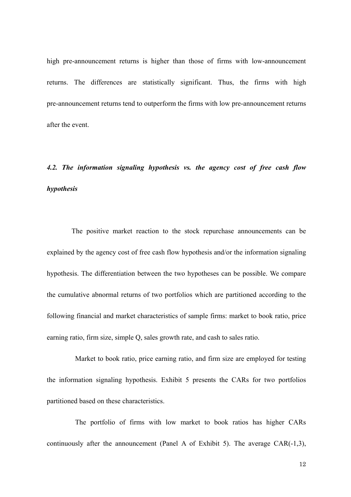high pre-announcement returns is higher than those of firms with low-announcement returns. The differences are statistically significant. Thus, the firms with high pre-announcement returns tend to outperform the firms with low pre-announcement returns after the event.

# *4.2. The information signaling hypothesis vs. the agency cost of free cash flow hypothesis*

The positive market reaction to the stock repurchase announcements can be explained by the agency cost of free cash flow hypothesis and/or the information signaling hypothesis. The differentiation between the two hypotheses can be possible. We compare the cumulative abnormal returns of two portfolios which are partitioned according to the following financial and market characteristics of sample firms: market to book ratio, price earning ratio, firm size, simple Q, sales growth rate, and cash to sales ratio.

Market to book ratio, price earning ratio, and firm size are employed for testing the information signaling hypothesis. Exhibit 5 presents the CARs for two portfolios partitioned based on these characteristics.

The portfolio of firms with low market to book ratios has higher CARs continuously after the announcement (Panel A of Exhibit 5). The average CAR(-1,3),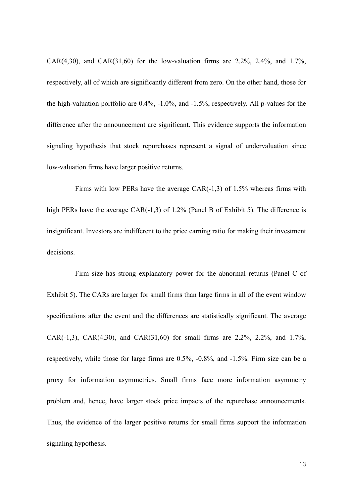CAR(4,30), and CAR(31,60) for the low-valuation firms are  $2.2\%$ ,  $2.4\%$ , and  $1.7\%$ , respectively, all of which are significantly different from zero. On the other hand, those for the high-valuation portfolio are 0.4%, -1.0%, and -1.5%, respectively. All p-values for the difference after the announcement are significant. This evidence supports the information signaling hypothesis that stock repurchases represent a signal of undervaluation since low-valuation firms have larger positive returns.

Firms with low PERs have the average CAR(-1,3) of 1.5% whereas firms with high PERs have the average CAR(-1,3) of 1.2% (Panel B of Exhibit 5). The difference is insignificant. Investors are indifferent to the price earning ratio for making their investment decisions.

Firm size has strong explanatory power for the abnormal returns (Panel C of Exhibit 5). The CARs are larger for small firms than large firms in all of the event window specifications after the event and the differences are statistically significant. The average CAR(-1,3), CAR(4,30), and CAR(31,60) for small firms are 2.2%, 2.2%, and 1.7%, respectively, while those for large firms are 0.5%, -0.8%, and -1.5%. Firm size can be a proxy for information asymmetries. Small firms face more information asymmetry problem and, hence, have larger stock price impacts of the repurchase announcements. Thus, the evidence of the larger positive returns for small firms support the information signaling hypothesis.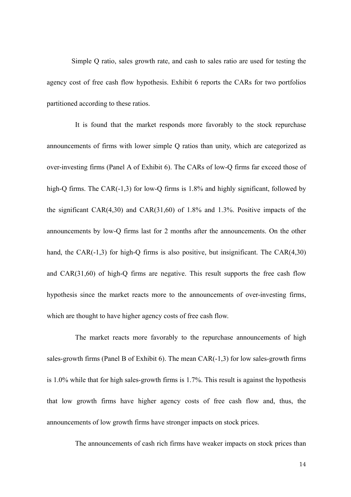Simple Q ratio, sales growth rate, and cash to sales ratio are used for testing the agency cost of free cash flow hypothesis. Exhibit 6 reports the CARs for two portfolios partitioned according to these ratios.

It is found that the market responds more favorably to the stock repurchase announcements of firms with lower simple Q ratios than unity, which are categorized as over-investing firms (Panel A of Exhibit 6). The CARs of low-Q firms far exceed those of high-Q firms. The CAR(-1,3) for low-Q firms is 1.8% and highly significant, followed by the significant CAR(4,30) and CAR(31,60) of 1.8% and 1.3%. Positive impacts of the announcements by low-Q firms last for 2 months after the announcements. On the other hand, the CAR $(-1,3)$  for high-Q firms is also positive, but insignificant. The CAR $(4,30)$ and CAR(31,60) of high-Q firms are negative. This result supports the free cash flow hypothesis since the market reacts more to the announcements of over-investing firms, which are thought to have higher agency costs of free cash flow.

The market reacts more favorably to the repurchase announcements of high sales-growth firms (Panel B of Exhibit 6). The mean CAR(-1,3) for low sales-growth firms is 1.0% while that for high sales-growth firms is 1.7%. This result is against the hypothesis that low growth firms have higher agency costs of free cash flow and, thus, the announcements of low growth firms have stronger impacts on stock prices.

The announcements of cash rich firms have weaker impacts on stock prices than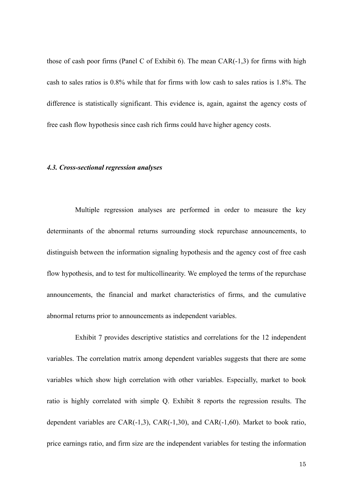those of cash poor firms (Panel C of Exhibit 6). The mean  $CAR(-1,3)$  for firms with high cash to sales ratios is 0.8% while that for firms with low cash to sales ratios is 1.8%. The difference is statistically significant. This evidence is, again, against the agency costs of free cash flow hypothesis since cash rich firms could have higher agency costs.

#### *4.3. Cross-sectional regression analyses*

Multiple regression analyses are performed in order to measure the key determinants of the abnormal returns surrounding stock repurchase announcements, to distinguish between the information signaling hypothesis and the agency cost of free cash flow hypothesis, and to test for multicollinearity. We employed the terms of the repurchase announcements, the financial and market characteristics of firms, and the cumulative abnormal returns prior to announcements as independent variables.

Exhibit 7 provides descriptive statistics and correlations for the 12 independent variables. The correlation matrix among dependent variables suggests that there are some variables which show high correlation with other variables. Especially, market to book ratio is highly correlated with simple Q. Exhibit 8 reports the regression results. The dependent variables are CAR(-1,3), CAR(-1,30), and CAR(-1,60). Market to book ratio, price earnings ratio, and firm size are the independent variables for testing the information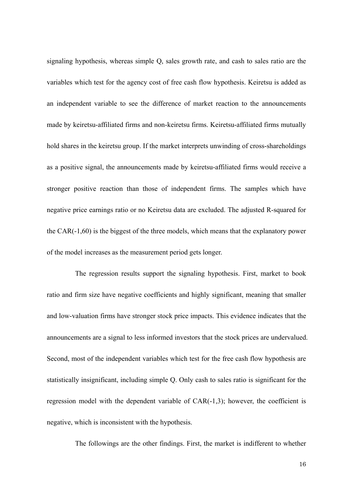signaling hypothesis, whereas simple Q, sales growth rate, and cash to sales ratio are the variables which test for the agency cost of free cash flow hypothesis. Keiretsu is added as an independent variable to see the difference of market reaction to the announcements made by keiretsu-affiliated firms and non-keiretsu firms. Keiretsu-affiliated firms mutually hold shares in the keiretsu group. If the market interprets unwinding of cross-shareholdings as a positive signal, the announcements made by keiretsu-affiliated firms would receive a stronger positive reaction than those of independent firms. The samples which have negative price earnings ratio or no Keiretsu data are excluded. The adjusted R-squared for the CAR(-1,60) is the biggest of the three models, which means that the explanatory power of the model increases as the measurement period gets longer.

The regression results support the signaling hypothesis. First, market to book ratio and firm size have negative coefficients and highly significant, meaning that smaller and low-valuation firms have stronger stock price impacts. This evidence indicates that the announcements are a signal to less informed investors that the stock prices are undervalued. Second, most of the independent variables which test for the free cash flow hypothesis are statistically insignificant, including simple Q. Only cash to sales ratio is significant for the regression model with the dependent variable of CAR(-1,3); however, the coefficient is negative, which is inconsistent with the hypothesis.

The followings are the other findings. First, the market is indifferent to whether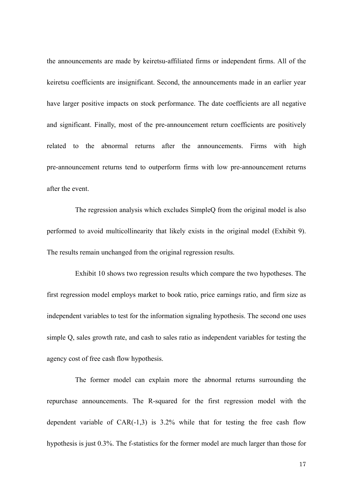the announcements are made by keiretsu-affiliated firms or independent firms. All of the keiretsu coefficients are insignificant. Second, the announcements made in an earlier year have larger positive impacts on stock performance. The date coefficients are all negative and significant. Finally, most of the pre-announcement return coefficients are positively related to the abnormal returns after the announcements. Firms with high pre-announcement returns tend to outperform firms with low pre-announcement returns after the event.

The regression analysis which excludes SimpleQ from the original model is also performed to avoid multicollinearity that likely exists in the original model (Exhibit 9). The results remain unchanged from the original regression results.

Exhibit 10 shows two regression results which compare the two hypotheses. The first regression model employs market to book ratio, price earnings ratio, and firm size as independent variables to test for the information signaling hypothesis. The second one uses simple Q, sales growth rate, and cash to sales ratio as independent variables for testing the agency cost of free cash flow hypothesis.

The former model can explain more the abnormal returns surrounding the repurchase announcements. The R-squared for the first regression model with the dependent variable of  $CAR(-1,3)$  is 3.2% while that for testing the free cash flow hypothesis is just 0.3%. The f-statistics for the former model are much larger than those for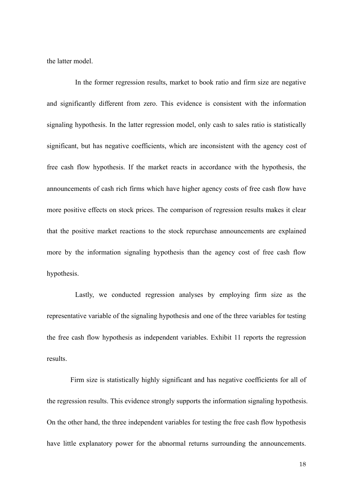the latter model.

In the former regression results, market to book ratio and firm size are negative and significantly different from zero. This evidence is consistent with the information signaling hypothesis. In the latter regression model, only cash to sales ratio is statistically significant, but has negative coefficients, which are inconsistent with the agency cost of free cash flow hypothesis. If the market reacts in accordance with the hypothesis, the announcements of cash rich firms which have higher agency costs of free cash flow have more positive effects on stock prices. The comparison of regression results makes it clear that the positive market reactions to the stock repurchase announcements are explained more by the information signaling hypothesis than the agency cost of free cash flow hypothesis.

Lastly, we conducted regression analyses by employing firm size as the representative variable of the signaling hypothesis and one of the three variables for testing the free cash flow hypothesis as independent variables. Exhibit 11 reports the regression results.

Firm size is statistically highly significant and has negative coefficients for all of the regression results. This evidence strongly supports the information signaling hypothesis. On the other hand, the three independent variables for testing the free cash flow hypothesis have little explanatory power for the abnormal returns surrounding the announcements.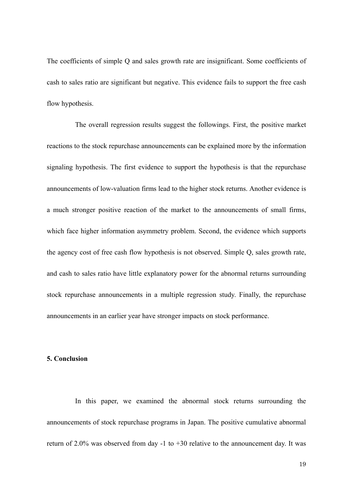The coefficients of simple Q and sales growth rate are insignificant. Some coefficients of cash to sales ratio are significant but negative. This evidence fails to support the free cash flow hypothesis.

The overall regression results suggest the followings. First, the positive market reactions to the stock repurchase announcements can be explained more by the information signaling hypothesis. The first evidence to support the hypothesis is that the repurchase announcements of low-valuation firms lead to the higher stock returns. Another evidence is a much stronger positive reaction of the market to the announcements of small firms, which face higher information asymmetry problem. Second, the evidence which supports the agency cost of free cash flow hypothesis is not observed. Simple Q, sales growth rate, and cash to sales ratio have little explanatory power for the abnormal returns surrounding stock repurchase announcements in a multiple regression study. Finally, the repurchase announcements in an earlier year have stronger impacts on stock performance.

## **5. Conclusion**

In this paper, we examined the abnormal stock returns surrounding the announcements of stock repurchase programs in Japan. The positive cumulative abnormal return of 2.0% was observed from day -1 to  $+30$  relative to the announcement day. It was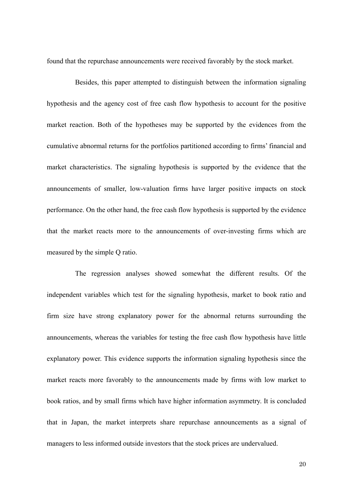found that the repurchase announcements were received favorably by the stock market.

Besides, this paper attempted to distinguish between the information signaling hypothesis and the agency cost of free cash flow hypothesis to account for the positive market reaction. Both of the hypotheses may be supported by the evidences from the cumulative abnormal returns for the portfolios partitioned according to firms' financial and market characteristics. The signaling hypothesis is supported by the evidence that the announcements of smaller, low-valuation firms have larger positive impacts on stock performance. On the other hand, the free cash flow hypothesis is supported by the evidence that the market reacts more to the announcements of over-investing firms which are measured by the simple Q ratio.

The regression analyses showed somewhat the different results. Of the independent variables which test for the signaling hypothesis, market to book ratio and firm size have strong explanatory power for the abnormal returns surrounding the announcements, whereas the variables for testing the free cash flow hypothesis have little explanatory power. This evidence supports the information signaling hypothesis since the market reacts more favorably to the announcements made by firms with low market to book ratios, and by small firms which have higher information asymmetry. It is concluded that in Japan, the market interprets share repurchase announcements as a signal of managers to less informed outside investors that the stock prices are undervalued.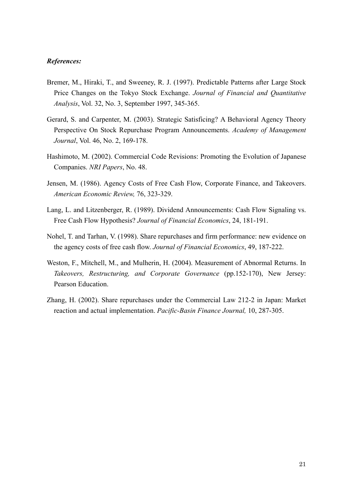#### *References:*

- Bremer, M., Hiraki, T., and Sweeney, R. J. (1997). Predictable Patterns after Large Stock Price Changes on the Tokyo Stock Exchange. *Journal of Financial and Quantitative Analysis*, Vol. 32, No. 3, September 1997, 345-365.
- Gerard, S. and Carpenter, M. (2003). Strategic Satisficing? A Behavioral Agency Theory Perspective On Stock Repurchase Program Announcements. *Academy of Management Journal*, Vol. 46, No. 2, 169-178.
- Hashimoto, M. (2002). Commercial Code Revisions: Promoting the Evolution of Japanese Companies. *NRI Papers*, No. 48.
- Jensen, M. (1986). Agency Costs of Free Cash Flow, Corporate Finance, and Takeovers. *American Economic Review,* 76, 323-329.
- Lang, L. and Litzenberger, R. (1989). Dividend Announcements: Cash Flow Signaling vs. Free Cash Flow Hypothesis? *Journal of Financial Economics*, 24, 181-191.
- Nohel, T. and Tarhan, V. (1998). Share repurchases and firm performance: new evidence on the agency costs of free cash flow. *Journal of Financial Economics*, 49, 187-222.
- Weston, F., Mitchell, M., and Mulherin, H. (2004). Measurement of Abnormal Returns. In *Takeovers, Restructuring, and Corporate Governance* (pp.152-170), New Jersey: Pearson Education.
- Zhang, H. (2002). Share repurchases under the Commercial Law 212-2 in Japan: Market reaction and actual implementation. *Pacific-Basin Finance Journal,* 10, 287-305.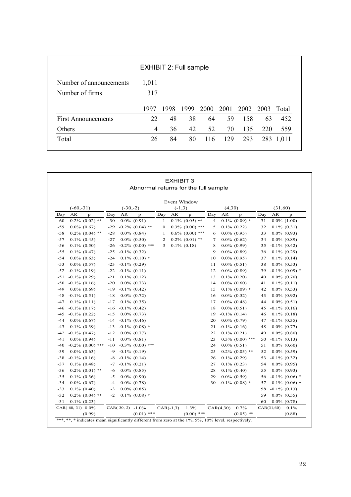| <b>EXHIBIT 2: Full sample</b> |       |      |    |                                |    |     |     |     |
|-------------------------------|-------|------|----|--------------------------------|----|-----|-----|-----|
| Number of announcements       | 1,011 |      |    |                                |    |     |     |     |
| Number of firms               | 317   |      |    |                                |    |     |     |     |
|                               | 1997  | 1998 |    | 1999 2000 2001 2002 2003 Total |    |     |     |     |
| <b>First Announcements</b>    | 22    | 48   | 38 | 64                             | 59 | 158 | 63  | 452 |
|                               |       |      |    |                                | 70 | 135 | 220 | 559 |
| Others                        | 4     | 36   | 42 | 52                             |    |     |     |     |

|       |                      |       | Abnormal returns for the full sample |          |             |                      |                |           |                    |     |             |                   |
|-------|----------------------|-------|--------------------------------------|----------|-------------|----------------------|----------------|-----------|--------------------|-----|-------------|-------------------|
|       |                      |       |                                      |          |             | <b>Event Window</b>  |                |           |                    |     |             |                   |
|       | $(-60,-31)$          |       | $(-30,-2)$                           |          | $(-1,3)$    |                      |                | (4,30)    |                    |     | (31,60)     |                   |
| Day   | AR<br>p              | Day   | AR<br>$\mathbf{p}$                   | Day      | AR          | p                    | Day            | AR        | $\mathbf{p}$       | Day | AR          | $\mathbf{p}$      |
| -60   | $-0.2\%$ (0.02) **   | $-30$ | $0.0\%$ $(0.91)$                     | $-1$     |             | $0.1\%$ (0.05) **    | $\overline{4}$ |           | $0.1\%$ (0.09) *   | 31  |             | $0.0\%$ $(1.00)$  |
| $-59$ | $0.0\%$ $(0.67)$     | $-29$ | $-0.2\%$ (0.04) **                   | $\bf{0}$ |             | $0.3\%$ (0.00) ***   | 5              |           | $0.1\%$ $(0.22)$   | 32  |             | $0.1\%$ $(0.31)$  |
| $-58$ | $0.2\%$ (0.04) **    | $-28$ | $0.0\%$ $(0.84)$                     | -1       |             | $0.6\%$ $(0.00)$ *** | 6              |           | $0.0\%$ (0.95)     | 33  |             | $0.0\%$ (0.93)    |
| $-57$ | $0.1\%$ $(0.45)$     | $-27$ | $0.0\%$ $(0.50)$                     | 2        |             | $0.2\%$ (0.01) **    | 7              |           | $0.0\%$ $(0.62)$   | 34  |             | $0.0\%$ $(0.89)$  |
| $-56$ | $0.1\%$ $(0.50)$     | $-26$ | $-0.2\%$ (0.00) ***                  | 3        |             | $0.1\%$ (0.18)       | 8              |           | $0.0\%$ (0.99)     | 35  |             | $-0.1\%$ (0.42)   |
| $-55$ | $0.1\%$ $(0.47)$     | $-25$ | $-0.1\%$ (0.32)                      |          |             |                      | 9              |           | $0.0\%$ $(0.89)$   | 36  |             | $0.1\% (0.29)$    |
| $-54$ | $0.0\%$ $(0.63)$     | $-24$ | $0.1\%$ (0.10) *                     |          |             |                      | 10             |           | $0.0\%$ (0.95)     | 37  |             | $0.1\%$ (0.14)    |
| $-53$ | $0.0\%$ $(0.57)$     | $-23$ | $-0.1\%$ (0.29)                      |          |             |                      | 11             |           | $0.0\%$ $(0.51)$   | 38  |             | $0.0\%$ $(0.53)$  |
| $-52$ | $-0.1\%$ $(0.19)$    | $-22$ | $-0.1\%$ (0.11)                      |          |             |                      | 12             |           | $0.0\%$ $(0.89)$   | 39  |             | $-0.1\%$ (0.09) * |
| $-51$ | $-0.1\%$ (0.29)      | $-21$ | $0.1\%$ (0.12)                       |          |             |                      | 13             |           | $0.1\%$ (0.20)     | 40  |             | $0.0\%$ (0.70)    |
| $-50$ | $-0.1\%$ (0.16)      | $-20$ | $0.0\%$ $(0.73)$                     |          |             |                      | 14             |           | $0.0\%$ $(0.60)$   | 41  |             | $0.1\%$ (0.11)    |
| $-49$ | $0.0\%$ $(0.69)$     | $-19$ | $-0.1\%$ (0.42)                      |          |             |                      | 15             |           | $0.1\%$ (0.09) *   | 42  |             | $0.0\%$ $(0.53)$  |
| $-48$ | $-0.1\%$ (0.51)      | $-18$ | $0.0\%$ $(0.72)$                     |          |             |                      | 16             |           | $0.0\%$ $(0.52)$   | 43  |             | $0.0\%$ (0.92)    |
| $-47$ | $0.1\%$ (0.11)       | $-17$ | $0.1\%$ $(0.35)$                     |          |             |                      | 17             |           | $0.0\%$ $(0.48)$   | 44  |             | $0.0\%$ $(0.51)$  |
| $-46$ | $-0.1\%$ (0.17)      | $-16$ | $-0.1\%$ (0.42)                      |          |             |                      | 18             |           | $0.0\%$ $(0.51)$   | 45  |             | $-0.1\%$ (0.16)   |
| $-45$ | $-0.1\%$ (0.22)      | $-15$ | $0.0\%$ $(0.73)$                     |          |             |                      | 19             |           | $-0.1\%$ (0.14)    | 46  |             | $0.1\%$ (0.18)    |
| $-44$ | $0.0\%$ $(0.67)$     | $-14$ | $-0.1\%$ (0.46)                      |          |             |                      | 20             |           | $0.0\%$ $(0.79)$   | 47  |             | $-0.1\%$ (0.35)   |
| $-43$ | $0.1\%$ (0.39)       | $-13$ | $-0.1\%$ (0.08) *                    |          |             |                      | 21             |           | $-0.1\%$ (0.16)    | 48  |             | $0.0\%$ $(0.77)$  |
| $-42$ | $-0.1\%$ (0.47)      | $-12$ | $0.0\%$ $(0.77)$                     |          |             |                      | 22             |           | $0.1\%$ (0.21)     | 49  |             | $0.0\%$ $(0.80)$  |
| $-41$ | $0.0\%$ $(0.94)$     | $-11$ | $0.0\%$ $(0.81)$                     |          |             |                      | 23             |           | $0.3\%$ (0.00) *** | 50  |             | $-0.1\%$ (0.13)   |
| $-40$ | $-0.2\%$ (0.00) ***  | $-10$ | $-0.3\%$ (0.00) ***                  |          |             |                      | 24             |           | $0.0\%$ $(0.51)$   | 51  |             | $0.0\%$ $(0.60)$  |
| $-39$ | $0.0\%$ $(0.63)$     | $-9$  | $-0.1\%$ (0.19)                      |          |             |                      | 25             |           | $0.2\%$ (0.03) **  | 52  |             | $0.0\%$ $(0.59)$  |
| $-38$ | $-0.1\%$ (0.16)      | -8    | $-0.1\%$ (0.14)                      |          |             |                      | 26             |           | $0.1\%$ (0.29)     | 53  |             | $-0.1\%$ (0.32)   |
| $-37$ | $0.1\%$ (0.48)       | $-7$  | $-0.1\%$ (0.21)                      |          |             |                      | 27             |           | $0.1\%$ (0.23)     | 54  |             | $0.0\%$ (0.95)    |
| $-36$ | $0.2\%$ $(0.01)$ **  | -6    | $0.0\%$ $(0.85)$                     |          |             |                      | 28             |           | $0.1\%$ (0.40)     | 55  |             | $0.0\%$ (0.93)    |
| $-35$ | $0.1\%$ (0.36)       | $-5$  | $0.0\%$ (0.90)                       |          |             |                      | 29             |           | $0.0\%$ $(0.59)$   | 56  |             | $-0.1\%$ (0.06) * |
| $-34$ | $0.0\%$ $(0.67)$     | $-4$  | $0.0\%$ $(0.78)$                     |          |             |                      | 30             |           | $-0.1\%$ (0.08) *  | 57  |             | $0.1\%$ (0.06) *  |
| $-33$ | $0.1\%$ $(0.40)$     | $-3$  | $0.0\%$ $(0.85)$                     |          |             |                      |                |           |                    | 58  |             | $-0.1\%$ (0.13)   |
| $-32$ | $0.2\%$ (0.04) **    | $-2$  | $0.1\%$ (0.08) *                     |          |             |                      |                |           |                    | 59  |             | $0.0\%$ $(0.55)$  |
| $-31$ | $0.1\% (0.23)$       |       |                                      |          |             |                      |                |           |                    | 60  |             | $0.0\%$ $(0.78)$  |
|       | CAR $(-60,-31)$ 0.0% |       | CAR $(-30,-2)$ -1.0%                 |          | $CAR(-1,3)$ | 1.3%                 |                | CAR(4,30) | 0.7%               |     | CAR(31, 60) | 0.1%              |
|       | (0.99)               |       | $(0.01)$ ***                         |          |             | $(0.00)$ ***         |                |           | $(0.05)$ **        |     |             | (0.88)            |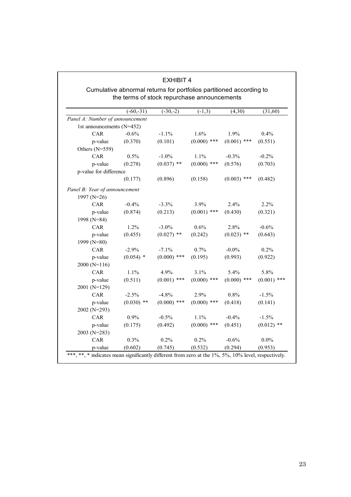|                                 | $(-60,-31)$  | $(-30,-2)$    | $(-1,3)$      | (4,30)        | (31,60)       |
|---------------------------------|--------------|---------------|---------------|---------------|---------------|
| Panel A: Number of announcement |              |               |               |               |               |
| 1st announcements (N=452)       |              |               |               |               |               |
| CAR                             | $-0.6%$      | $-1.1%$       | 1.6%          | 1.9%          | 0.4%          |
| p-value                         | (0.370)      | (0.101)       | $(0.000)$ *** | $(0.001)$ *** | (0.551)       |
| Others (N=559)                  |              |               |               |               |               |
| CAR                             | 0.5%         | $-1.0%$       | 1.1%          | $-0.3%$       | $-0.2%$       |
| p-value                         | (0.278)      | $(0.037)$ **  | $(0.000)$ *** | (0.576)       | (0.703)       |
| p-value for difference          |              |               |               |               |               |
|                                 | (0.177)      | (0.896)       | (0.158)       | $(0.003)$ *** | (0.482)       |
| Panel B: Year of announcement   |              |               |               |               |               |
| 1997 (N=26)                     |              |               |               |               |               |
| CAR                             | $-0.4%$      | $-3.3%$       | 3.9%          | 2.4%          | 2.2%          |
| p-value                         | (0.874)      | (0.213)       | $(0.001)$ *** | (0.430)       | (0.321)       |
| 1998 (N=84)                     |              |               |               |               |               |
| CAR                             | 1.2%         | $-3.0\%$      | 0.6%          | 2.8%          | $-0.6%$       |
| p-value                         | (0.455)      | $(0.027)$ **  | (0.242)       | $(0.023)$ **  | (0.643)       |
| 1999 (N=80)                     |              |               |               |               |               |
| CAR                             | $-2.9%$      | $-7.1%$       | 0.7%          | $-0.0\%$      | 0.2%          |
| p-value                         | $(0.054)$ *  | $(0.000)$ *** | (0.195)       | (0.993)       | (0.922)       |
| $2000(N=116)$                   |              |               |               |               |               |
| CAR                             | 1.1%         | 4.9%          | 3.1%          | 5.4%          | 5.8%          |
| p-value                         | (0.511)      | $(0.001)$ *** | $(0.000)$ *** | $(0.000)$ *** | $(0.001)$ *** |
| 2001 (N=129)                    |              |               |               |               |               |
| CAR                             | $-2.5%$      | $-4.8%$       | 2.9%          | 0.8%          | $-1.5%$       |
| p-value                         | $(0.030)$ ** | $(0.000)$ *** | $(0.000)$ *** | (0.418)       | (0.141)       |
| 2002 (N=293)                    |              |               |               |               |               |
| CAR                             | 0.9%         | $-0.5%$       | 1.1%          | $-0.4%$       | $-1.5%$       |
| p-value                         | (0.175)      | (0.492)       | $(0.000)$ *** | (0.451)       | $(0.012)$ **  |
| 2003 (N=283)                    |              |               |               |               |               |
| CAR                             | 0.3%         | 0.2%          | 0.2%          | $-0.6%$       | $0.0\%$       |
| p-value                         | (0.602)      | (0.745)       | (0.532)       | (0.294)       | (0.953)       |

## EXHIBIT 4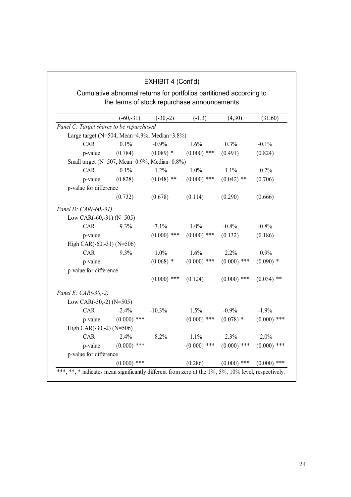|                                              |                                                                                                                    | EXHIBIT 4 (Cont'd) |               |               |               |
|----------------------------------------------|--------------------------------------------------------------------------------------------------------------------|--------------------|---------------|---------------|---------------|
|                                              | Cumulative abnormal returns for portfolios partitioned according to<br>the terms of stock repurchase announcements |                    |               |               |               |
|                                              |                                                                                                                    |                    |               |               |               |
|                                              | $(-60,-31)$                                                                                                        | $(-30,-2)$         | $(-1,3)$      | (4,30)        | (31,60)       |
| Panel C: Target shares to be repurchased     |                                                                                                                    |                    |               |               |               |
| Large target (N=504, Mean=4.9%, Median=3.8%) |                                                                                                                    |                    |               |               |               |
| CAR                                          | 0.1%                                                                                                               | $-0.9%$            | 1.6%          | 0.3%          | $-0.1\%$      |
| p-value                                      | (0.784)                                                                                                            | $(0.089)$ *        | $(0.000)$ *** | (0.491)       | (0.824)       |
| Small target (N=507, Mean=0.9%, Median=0.8%) |                                                                                                                    |                    |               |               |               |
| CAR                                          | $-0.1%$                                                                                                            | $-1.2%$            | 1.0%          | 1.1%          | 0.2%          |
| p-value                                      | (0.828)                                                                                                            | $(0.048)$ **       | $(0.000)$ *** | $(0.042)$ **  | (0.706)       |
| p-value for difference                       |                                                                                                                    |                    |               |               |               |
|                                              | (0.732)                                                                                                            | (0.678)            | (0.114)       | (0.290)       | (0.666)       |
| Panel D: CAR(-60,-31)                        |                                                                                                                    |                    |               |               |               |
| Low CAR(-60,-31) (N=505)                     |                                                                                                                    |                    |               |               |               |
| CAR                                          | $-9.3%$                                                                                                            | $-3.1%$            | 1.0%          | $-0.8%$       | $-0.8%$       |
| p-value                                      |                                                                                                                    | $(0.000)$ ***      | $(0.000)$ *** | (0.132)       | (0.186)       |
| High CAR(-60,-31) (N=506)                    |                                                                                                                    |                    |               |               |               |
| <b>CAR</b>                                   | 9.3%                                                                                                               | 1.0%               | 1.6%          | 2.2%          | 0.9%          |
| p-value                                      |                                                                                                                    | $(0.068)$ *        | $(0.000)$ *** | $(0.000)$ *** | $(0.090)$ *   |
| p-value for difference                       |                                                                                                                    |                    |               |               |               |
|                                              |                                                                                                                    | $(0.000)$ ***      | (0.124)       | $(0.000)$ *** | $(0.034)$ **  |
| Panel E: $CAR(-30,-2)$                       |                                                                                                                    |                    |               |               |               |
| Low CAR $(-30,-2)$ (N=505)                   |                                                                                                                    |                    |               |               |               |
| <b>CAR</b>                                   | $-2.4%$                                                                                                            | $-10.3%$           | 1.5%          | $-0.9%$       | $-1.9%$       |
| p-value                                      | $(0.000)$ ***                                                                                                      |                    | $(0.000)$ *** | $(0.078)$ *   | $(0.000)$ *** |
| High CAR $(-30,-2)$ (N=506)                  |                                                                                                                    |                    |               |               |               |
| <b>CAR</b>                                   | 2.4%                                                                                                               | 8.2%               | 1.1%          | 2.3%          | 2.0%          |
| p-value                                      | $(0.000)$ ***                                                                                                      |                    | $(0.000)$ *** | $(0.000)$ *** | $(0.000)$ *** |
| p-value for difference                       |                                                                                                                    |                    |               |               |               |
|                                              | $(0.000)$ ***                                                                                                      |                    | (0.286)       | $(0.000)$ *** | $(0.000)$ *** |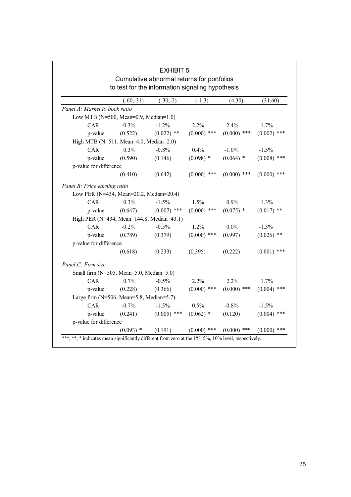|                                            |                                                  | <b>EXHIBIT 5</b>                           |               |               |               |
|--------------------------------------------|--------------------------------------------------|--------------------------------------------|---------------|---------------|---------------|
|                                            |                                                  | Cumulative abnormal returns for portfolios |               |               |               |
|                                            | to test for the information signaling hypothesis |                                            |               |               |               |
|                                            | $(-60,-31)$                                      | $(-30,-2)$                                 | $(-1,3)$      | (4,30)        | (31,60)       |
| Panel A: Market to book ratio              |                                                  |                                            |               |               |               |
| Low MTB (N=500, Mean=0.9, Median=1.0)      |                                                  |                                            |               |               |               |
| <b>CAR</b>                                 | $-0.3%$                                          | $-1.2%$                                    | 2.2%          | 2.4%          | 1.7%          |
| p-value                                    | (0.522)                                          | $(0.022)$ **                               | $(0.000)$ *** | $(0.000)$ *** | $(0.002)$ *** |
| High MTB (N=511, Mean=4.0, Median=2.0)     |                                                  |                                            |               |               |               |
| CAR                                        | 0.3%                                             | $-0.8%$                                    | 0.4%          | $-1.0\%$      | $-1.5%$       |
| p-value                                    | (0.590)                                          | (0.146)                                    | $(0.098)$ *   | $(0.064)$ *   | $(0.008)$ *** |
| p-value for difference                     |                                                  |                                            |               |               |               |
|                                            | (0.410)                                          | (0.642)                                    | $(0.000)$ *** | $(0.000)$ *** | $(0.000)$ *** |
| Panel B: Price earning ratio               |                                                  |                                            |               |               |               |
| Low PER (N=434, Mean=20.2, Median=20.4)    |                                                  |                                            |               |               |               |
| <b>CAR</b>                                 | 0.3%                                             | $-1.5%$                                    | 1.5%          | 0.9%          | 1.3%          |
| p-value                                    | (0.647)                                          | $(0.007)$ ***                              | $(0.000)$ *** | $(0.075)$ *   | $(0.017)$ **  |
| High PER (N=434, Mean=144.8, Median=43.1)  |                                                  |                                            |               |               |               |
| <b>CAR</b>                                 | $-0.2%$                                          | $-0.5%$                                    | 1.2%          | $0.0\%$       | $-1.3%$       |
| p-value                                    | (0.789)                                          | (0.379)                                    | $(0.000)$ *** | (0.997)       | $(0.026)$ **  |
| p-value for difference                     |                                                  |                                            |               |               |               |
|                                            | (0.618)                                          | (0.233)                                    | (0.395)       | (0.222)       | $(0.001)$ *** |
| Panel C: Firm size                         |                                                  |                                            |               |               |               |
| Small firm (N=505, Mean=5.0, Median=5.0)   |                                                  |                                            |               |               |               |
| <b>CAR</b>                                 | 0.7%                                             | $-0.5%$                                    | 2.2%          | 2.2%          | 1.7%          |
| p-value                                    | (0.228)                                          | (0.366)                                    | $(0.000)$ *** | $(0.000)$ *** | $(0.004)$ *** |
| Large firm $(N=506, Mean=5.8, Median=5.7)$ |                                                  |                                            |               |               |               |
| <b>CAR</b>                                 | $-0.7%$                                          | $-1.5%$                                    | 0.5%          | $-0.8%$       | $-1.5%$       |
| p-value                                    | (0.241)                                          | $(0.005)$ ***                              | $(0.062)$ *   | (0.120)       | $(0.004)$ *** |
| p-value for difference                     |                                                  |                                            |               |               |               |
|                                            | $(0.093)$ *                                      | (0.191)                                    | $(0.000)$ *** | $(0.000)$ *** | $(0.000)$ *** |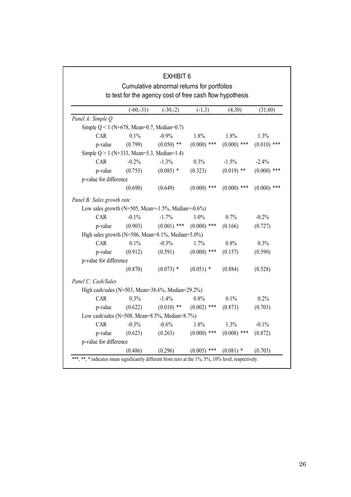|                                                              |                                                          | <b>EXHIBIT 6</b><br>Cumulative abnormal returns for portfolios |                |               |               |
|--------------------------------------------------------------|----------------------------------------------------------|----------------------------------------------------------------|----------------|---------------|---------------|
|                                                              | to test for the agency cost of free cash flow hypothesis |                                                                |                |               |               |
|                                                              | $(-60,-31)$                                              | $(-30,-2)$                                                     | $(-1,3)$       | (4,30)        | (31,60)       |
| Panel A: Simple Q                                            |                                                          |                                                                |                |               |               |
| Simple $Q < 1$ (N=678, Mean=0.7, Median=0.7)                 |                                                          |                                                                |                |               |               |
| <b>CAR</b>                                                   | 0.1%                                                     | $-0.9%$                                                        | 1.8%           | 1.8%          | 1.3%          |
| p-value                                                      | (0.799)                                                  | $(0.050)$ **                                                   | $(0.000)$ ***  | $(0.000)$ *** | $(0.010)$ *** |
| Simple $Q > 1$ (N=333, Mean=5.3, Median=1.4)                 |                                                          |                                                                |                |               |               |
| <b>CAR</b>                                                   | $-0.2%$                                                  | $-1.3%$                                                        | 0.3%           | $-1.5%$       | $-2.4%$       |
| p-value                                                      | (0.755)                                                  | $(0.085)$ *                                                    | (0.323)        | $(0.019)$ **  | $(0.000)$ *** |
| p-value for difference                                       |                                                          |                                                                |                |               |               |
|                                                              | (0.690)                                                  | (0.649)                                                        | $(0.000)$ ***  | $(0.000)$ *** | $(0.000)$ *** |
| Panel B: Sales growth rate                                   |                                                          |                                                                |                |               |               |
| Low sales growth (N=505, Mean= $-1.5\%$ , Median= $-0.6\%$ ) |                                                          |                                                                |                |               |               |
| <b>CAR</b>                                                   | $-0.1\%$                                                 | $-1.7%$                                                        | 1.0%           | 0.7%          | $-0.2%$       |
| p-value                                                      | (0.903)                                                  | $(0.001)$ ***                                                  | $(0.000)$ ***  | (0.166)       | (0.727)       |
| High sales growth (N=506, Mean=8.1%, Median=5.0%)            |                                                          |                                                                |                |               |               |
| CAR                                                          | 0.1%                                                     | $-0.3%$                                                        | 1.7%           | 0.8%          | 0.3%          |
| p-value                                                      | (0.912)                                                  | (0.591)                                                        | $(0.000)$ ***  | (0.157)       | (0.590)       |
| p-value for difference                                       |                                                          |                                                                |                |               |               |
|                                                              | (0.870)                                                  | $(0.073)$ *                                                    | $(0.051)$ *    | (0.884)       | (0.528)       |
| Panel C: Cash/Sales                                          |                                                          |                                                                |                |               |               |
| High cash/sales (N=503, Mean=38.6%, Median=29.2%)            |                                                          |                                                                |                |               |               |
| CAR                                                          | 0.3%                                                     | $-1.4%$                                                        | $0.8\%$        | 0.1%          | 0.2%          |
| p-value                                                      | (0.622)                                                  | $(0.010)$ **                                                   | $(0.002)$ ***  | (0.873)       | (0.703)       |
| Low cash/sales (N=508, Mean=8.5%, Median=8.7%)               |                                                          |                                                                |                |               |               |
| CAR                                                          | $-0.3%$                                                  | $-0.6%$                                                        | 1.8%           | 1.3%          | $-0.1\%$      |
| p-value                                                      | (0.623)                                                  | (0.263)                                                        | $(0.000)$ ***  | $(0.008)$ *** | (0.872)       |
| p-value for difference                                       |                                                          |                                                                |                |               |               |
|                                                              | (0.486)                                                  | (0.296)                                                        | (0.005)<br>*** | $(0.081)$ *   | (0.703)       |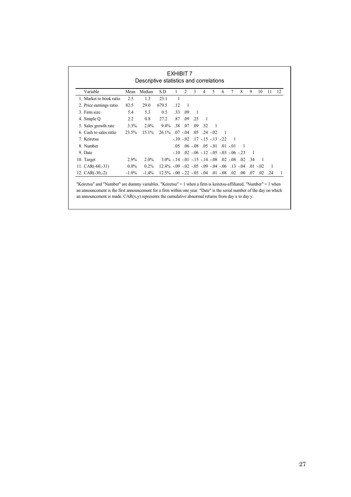|                         |               | Descriptive statistics and correlations |                                                        |                 |                |                |                |                                  |   |                                                |     |     |                          |     |    |
|-------------------------|---------------|-----------------------------------------|--------------------------------------------------------|-----------------|----------------|----------------|----------------|----------------------------------|---|------------------------------------------------|-----|-----|--------------------------|-----|----|
| Variable                | Mean          | Median                                  | S.D.                                                   |                 | $\overline{2}$ | 3              | 4              | 5                                | 6 |                                                | 8   | 9   | 10                       | 11  | 12 |
| 1. Market to book ratio | 2.5           | 1.3                                     | 23.1                                                   |                 |                |                |                |                                  |   |                                                |     |     |                          |     |    |
| 2. Price earnings ratio | 82.5          | 29.0                                    | 679.5                                                  | $\overline{12}$ | -1             |                |                |                                  |   |                                                |     |     |                          |     |    |
| 3. Firm size            | 5.4           | 5.3                                     | 0.5                                                    | .33             | .09            | $\overline{1}$ |                |                                  |   |                                                |     |     |                          |     |    |
| 4. Simple Q             | $2.2^{\circ}$ | 0.8                                     | 27.2                                                   | .87             | .09            | -25            | $\overline{1}$ |                                  |   |                                                |     |     |                          |     |    |
| 5. Sales growth rate    | 3.3%          | $2.0\%$                                 | $9.4\%$                                                | .38             | .07            | .09            | -32            | $\overline{1}$                   |   |                                                |     |     |                          |     |    |
| 6. Cash to sales ratio  | 23.5%         | $15.1\%$                                | $26.1\%$ 07 - 04                                       |                 |                | .05            |                | $-24 - 02$                       |   |                                                |     |     |                          |     |    |
| 7. Keiretsu             |               |                                         |                                                        |                 | $-10 - 02$     |                |                | $.17 - .15 - .13 - .22$          |   |                                                |     |     |                          |     |    |
| 8. Number               |               |                                         |                                                        | -05             |                |                |                | $.06 - 08$ $.05 - 01$ $.01 - 01$ |   |                                                |     |     |                          |     |    |
| 9. Date                 |               |                                         |                                                        |                 |                |                |                |                                  |   | $-10$ $02$ $-06$ $-12$ $-05$ $-03$ $-06$ $-23$ |     |     |                          |     |    |
| 10. Target              | 2.9%          | $2.0\%$                                 | $3.0\% -14 - 01 - 15 - 14 - 08 - 02 - 08 - 02 - 34$    |                 |                |                |                |                                  |   |                                                |     |     | $\overline{\phantom{0}}$ |     |    |
| 11. $CAR(-60,-31)$      | $0.0\%$       | $0.2\%$                                 | $12.4\% - .09 - .02 - .05 - .09 - .04 - .06$ . 13 - 04 |                 |                |                |                |                                  |   |                                                |     |     | $.01 - 02$               | -1  |    |
| 12. $CAR(-30,-2)$       | $-1.0\%$      | $-1.4\%$                                | $12.5\% -00 -22 -05 -04 -01 -08$                       |                 |                |                |                |                                  |   | .02                                            | .00 | .07 | .02                      | .24 |    |

an announcement is the first announcement for a firm within one year. "Date" is the serial number of the day on which an announcement is made.  $CAR(x,y)$  represents the cumulative abnormal returns from day x to day y.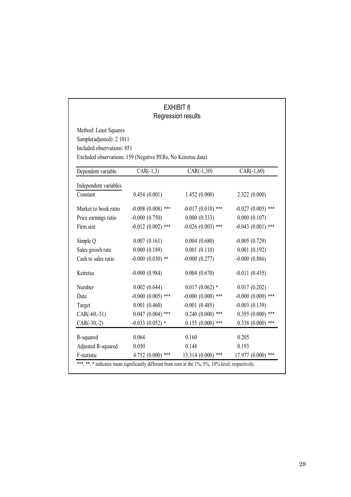# EXHIBIT 8 Regression results

| Included observations: 851 | Excluded observations: 159 (Negative PERs, No Keiretsu data) |                     |                     |
|----------------------------|--------------------------------------------------------------|---------------------|---------------------|
| Dependent variable         | $CAR(-1,3)$                                                  | $CAR(-1,30)$        | $CAR(-1, 60)$       |
| Independent variables      |                                                              |                     |                     |
| Constant                   | 0.454(0.001)                                                 | 1.452(0.000)        | 2.322(0.000)        |
| Market to book ratio       | $-0.008$ $(0.008)$ ***                                       | $-0.017(0.010)$ *** | $-0.027(0.005)$ *** |
| Price earnings ratio       | $-0.000(0.750)$                                              | 0.000(0.333)        | 0.000(0.107)        |
| Firm size                  | $-0.012(0.002)$ ***                                          | $-0.026(0.003)$ *** | $-0.043(0.001)$ *** |
| Simple Q                   | 0.007(0.161)                                                 | 0.004(0.680)        | $-0.005(0.729)$     |
| Sales growh rate           | 0.000(0.189)                                                 | 0.001(0.110)        | 0.001(0.192)        |
| Cash to sales ratio        | $-0.000(0.030)$ **                                           | $-0.000(0.277)$     | $-0.000(0.886)$     |
| Keiretsu                   | $-0.000(0.984)$                                              | 0.004(0.670)        | $-0.011(0.455)$     |
| Number                     | 0.002(0.644)                                                 | $0.017(0.062)$ *    | 0.017(0.202)        |
| Date                       | $-0.000(0.005)$ ***                                          | $-0.000(0.000)$ *** | $-0.000(0.000)$ *** |
| Target                     | 0.001(0.460)                                                 | $-0.001(0.485)$     | $-0.003(0.139)$     |
| $CAR(-60,-31)$             | $0.047(0.004)$ ***                                           | $0.240(0.000)$ ***  | $0.355(0.000)$ ***  |
| $CAR(-30,-2)$              | $-0.033(0.052)$ *                                            | $0.155(0.000)$ ***  | $0.338(0.000)$ ***  |
| R-squared                  | 0.064                                                        | 0.160               | 0.205               |
| Adjusted R-squared         | 0.050                                                        | 0.148               | 0.193               |
| F-statistic                | 4.752 $(0.000)$ ***                                          | 13.314 (0.000) ***  | $17.977(0.000)$ *** |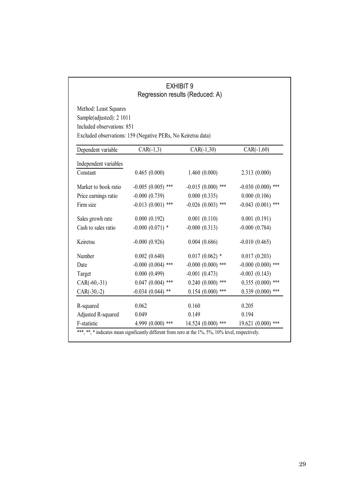|                                                                                 |                                                              | <b>EXHIBIT 9</b><br>Regression results (Reduced: A) |                     |
|---------------------------------------------------------------------------------|--------------------------------------------------------------|-----------------------------------------------------|---------------------|
| Method: Least Squares<br>Sample(adjusted): 2 1011<br>Included observations: 851 | Excluded observations: 159 (Negative PERs, No Keiretsu data) |                                                     |                     |
| Dependent variable                                                              | $CAR(-1,3)$                                                  | $CAR(-1,30)$                                        | $CAR(-1, 60)$       |
| Independent variables                                                           |                                                              |                                                     |                     |
| Constant                                                                        | 0.465(0.000)                                                 | 1.460(0.000)                                        | 2.313(0.000)        |
| Market to book ratio                                                            | $-0.005(0.005)$ ***                                          | $-0.015(0.000)$ ***                                 | $-0.030(0.000)$ *** |
| Price earnings ratio                                                            | $-0.000(0.739)$                                              | 0.000(0.335)                                        | 0.000(0.106)        |
| Firm size                                                                       | $-0.013(0.001)$ ***                                          | $-0.026(0.003)$ ***                                 | $-0.043(0.001)$ *** |
| Sales growh rate                                                                | 0.000(0.192)                                                 | 0.001(0.110)                                        | 0.001(0.191)        |
| Cash to sales ratio                                                             | $-0.000(0.071)$ *                                            | $-0.000(0.313)$                                     | $-0.000$ $(0.784)$  |
| Keiretsu                                                                        | $-0.000(0.926)$                                              | 0.004(0.686)                                        | $-0.010(0.465)$     |
| Number                                                                          | 0.002(0.640)                                                 | $0.017(0.062)$ *                                    | 0.017(0.203)        |
| Date                                                                            | $-0.000$ $(0.004)$ ***                                       | $-0.000(0.000)$ ***                                 | $-0.000(0.000)$ *** |
| Target                                                                          | 0.000(0.499)                                                 | $-0.001(0.473)$                                     | $-0.003(0.143)$     |
| $CAR(-60,-31)$                                                                  | $0.047(0.004)$ ***                                           | $0.240(0.000)$ ***                                  | $0.355(0.000)$ ***  |
| $CAR(-30,-2)$                                                                   | $-0.034(0.044)$ **                                           | $0.154(0.000)$ ***                                  | $0.339(0.000)$ ***  |
| R-squared                                                                       | 0.062                                                        | 0.160                                               | 0.205               |
| Adjusted R-squared                                                              | 0.049                                                        | 0.149                                               | 0.194               |
| F-statistic                                                                     | 4.999 (0.000) ***                                            | 14.524 (0.000) ***                                  | $19.621(0.000)$ *** |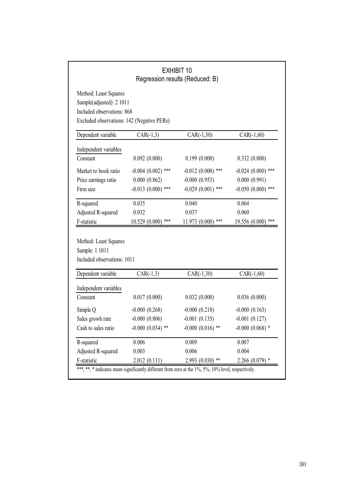|                                                                                                                               |                       | <b>EXHIBIT 10</b><br>Regression results (Reduced: B) |                      |
|-------------------------------------------------------------------------------------------------------------------------------|-----------------------|------------------------------------------------------|----------------------|
| Method: Least Squares<br>Sample(adjusted): 2 1011<br>Included observations: 868<br>Excluded observations: 142 (Negative PERs) |                       |                                                      |                      |
| Dependent variable                                                                                                            | $CAR(-1,3)$           | $CAR(-1,30)$                                         | $CAR(-1, 60)$        |
| Independent variables                                                                                                         |                       |                                                      |                      |
| Constant                                                                                                                      | 0.092(0.000)          | 0.199(0.000)                                         | 0.332(0.000)         |
| Market to book ratio                                                                                                          | $-0.004(0.002)$ ***   | $-0.012(0.000)$ ***                                  | $-0.024(0.000)$ ***  |
| Price earnings ratio                                                                                                          | 0.000(0.862)          | $-0.000(0.953)$                                      | 0.000(0.991)         |
| Firm size                                                                                                                     | $-0.013(0.000)$ ***   | $-0.029(0.001)$ ***                                  | $-0.050(0.000)$ ***  |
| R-squared                                                                                                                     | 0.035                 | 0.040                                                | 0.064                |
| Adjusted R-squared                                                                                                            | 0.032                 | 0.037                                                | 0.060                |
| F-statistic                                                                                                                   | $10.529(0.000)$ ***   | 11.973 (0.000) ***                                   | 19.556 (0.000) ***   |
| Method: Least Squares<br>Sample: 1 1011<br>Included observations: 1011                                                        |                       |                                                      |                      |
| Dependent variable                                                                                                            | $CAR(-1,3)$           | $CAR(-1,30)$                                         | $CAR(-1, 60)$        |
| Independent variables                                                                                                         |                       |                                                      |                      |
| Constant                                                                                                                      | 0.017(0.000)          | 0.032(0.000)                                         | 0.036(0.000)         |
| Simple Q                                                                                                                      | $-0.000(0.268)$       | $-0.000(0.218)$                                      | $-0.000(0.163)$      |
| Sales growh rate                                                                                                              | $-0.000(0.806)$       | $-0.001(0.135)$                                      | $-0.001(0.127)$      |
| Cash to sales ratio                                                                                                           | $-0.000$ $(0.034)$ ** | $-0.000$ $(0.016)$ **                                | $-0.000$ $(0.068)$ * |
|                                                                                                                               |                       | 0.009                                                | 0.007                |
| R-squared                                                                                                                     | 0.006                 |                                                      |                      |
| Adjusted R-squared                                                                                                            | 0.003                 | 0.006                                                | 0.004                |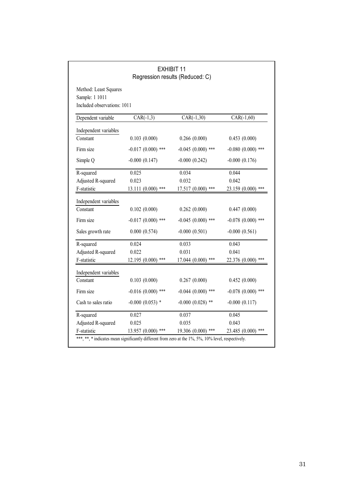|                                                                        |                     | <b>EXHIBIT 11</b><br>Regression results (Reduced: C) |                      |
|------------------------------------------------------------------------|---------------------|------------------------------------------------------|----------------------|
| Method: Least Squares<br>Sample: 1 1011<br>Included observations: 1011 |                     |                                                      |                      |
| Dependent variable                                                     | $CAR(-1,3)$         | $CAR(-1,30)$                                         | $CAR(-1, 60)$        |
| Independent variables                                                  |                     |                                                      |                      |
| Constant                                                               | 0.103(0.000)        | 0.266(0.000)                                         | 0.453(0.000)         |
| Firm size                                                              | $-0.017(0.000)$ *** | $-0.045(0.000)$ ***                                  | $-0.080(0.000)$ ***  |
| Simple Q                                                               | $-0.000(0.147)$     | $-0.000(0.242)$                                      | $-0.000(0.176)$      |
| R-squared                                                              | 0.025               | 0.034                                                | 0.044                |
| Adjusted R-squared                                                     | 0.023               | 0.032                                                | 0.042                |
| F-statistic                                                            | 13.111 (0.000) ***  | 17.517 (0.000) ***                                   | 23.159 (0.000) ***   |
| Independent variables                                                  |                     |                                                      |                      |
| Constant                                                               | 0.102(0.000)        | 0.262(0.000)                                         | 0.447(0.000)         |
| Firm size                                                              | $-0.017(0.000)$ *** | $-0.045(0.000)$ ***                                  | $-0.078$ (0.000) *** |
| Sales growth rate                                                      | 0.000(0.574)        | $-0.000(0.501)$                                      | $-0.000(0.561)$      |
| R-squared                                                              | 0.024               | 0.033                                                | 0.043                |
| Adjusted R-squared                                                     | 0.022               | 0.031                                                | 0.041                |
| F-statistic                                                            | $12.195(0.000)$ *** | $17.044(0.000)$ ***                                  | 22.376 (0.000) ***   |
| Independent variables                                                  |                     |                                                      |                      |
| Constant                                                               | 0.103(0.000)        | 0.267(0.000)                                         | 0.452(0.000)         |
| Firm size                                                              | $-0.016(0.000)$ *** | $-0.044(0.000)$ ***                                  | $-0.078$ (0.000) *** |
| Cash to sales ratio                                                    | $-0.000(0.053)$ *   | $-0.000$ $(0.028)$ **                                | $-0.000(0.117)$      |
| R-squared                                                              | 0.027               | 0.037                                                | 0.045                |
| Adjusted R-squared                                                     | 0.025               | 0.035                                                | 0.043                |
| F-statistic                                                            | 13.957 (0.000) ***  | 19.306 (0.000) ***                                   | 23.485 (0.000) ***   |